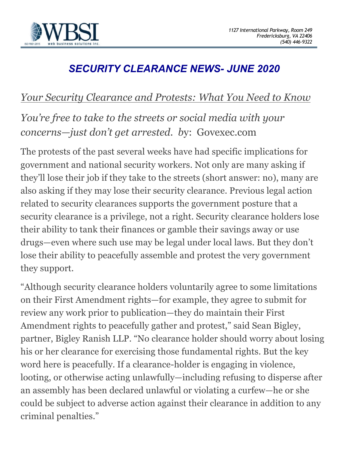

# *SECURITY CLEARANCE NEWS- JUNE 2020*

### *Your Security Clearance and Protests: What You Need to Know*

## *You're free to take to the streets or social media with your concerns—just don't get arrested. b*y: Govexec.com

The protests of the past several weeks have had specific implications for government and national security workers. Not only are many asking if they'll lose their job if they take to the streets (short answer: no), many are also asking if they may lose their security clearance. Previous legal action related to security clearances supports the government posture that a security clearance is a privilege, not a right. Security clearance holders lose their ability to tank their finances or gamble their savings away or use drugs—even where such use may be legal under local laws. But they don't lose their ability to peacefully assemble and protest the very government they support.

"Although security clearance holders voluntarily agree to some limitations on their First Amendment rights—for example, they agree to submit for review any work prior to publication—they do maintain their First Amendment rights to peacefully gather and protest," said Sean Bigley, partner, Bigley Ranish LLP. "No clearance holder should worry about losing his or her clearance for exercising those fundamental rights. But the key word here is peacefully. If a clearance-holder is engaging in violence, looting, or otherwise acting unlawfully—including refusing to disperse after an assembly has been declared unlawful or violating a curfew—he or she could be subject to adverse action against their clearance in addition to any criminal penalties."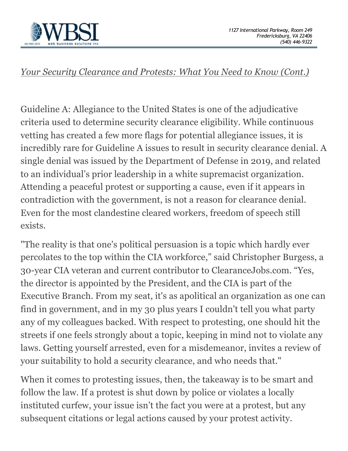

#### *Your Security Clearance and Protests: What You Need to Know (Cont.)*

Guideline A: Allegiance to the United States is one of the adjudicative criteria used to determine security clearance eligibility. While continuous vetting has created a few more flags for potential allegiance issues, it is incredibly rare for Guideline A issues to result in security clearance denial. A single denial was issued by the Department of Defense in 2019, and related to an individual's prior leadership in a white supremacist organization. Attending a peaceful protest or supporting a cause, even if it appears in contradiction with the government, is not a reason for clearance denial. Even for the most clandestine cleared workers, freedom of speech still exists.

"The reality is that one's political persuasion is a topic which hardly ever percolates to the top within the CIA workforce," said Christopher Burgess, a 30-year CIA veteran and current contributor to ClearanceJobs.com. "Yes, the director is appointed by the President, and the CIA is part of the Executive Branch. From my seat, it's as apolitical an organization as one can find in government, and in my 30 plus years I couldn't tell you what party any of my colleagues backed. With respect to protesting, one should hit the streets if one feels strongly about a topic, keeping in mind not to violate any laws. Getting yourself arrested, even for a misdemeanor, invites a review of your suitability to hold a security clearance, and who needs that."

When it comes to protesting issues, then, the takeaway is to be smart and follow the law. If a protest is shut down by police or violates a locally instituted curfew, your issue isn't the fact you were at a protest, but any subsequent citations or legal actions caused by your protest activity.